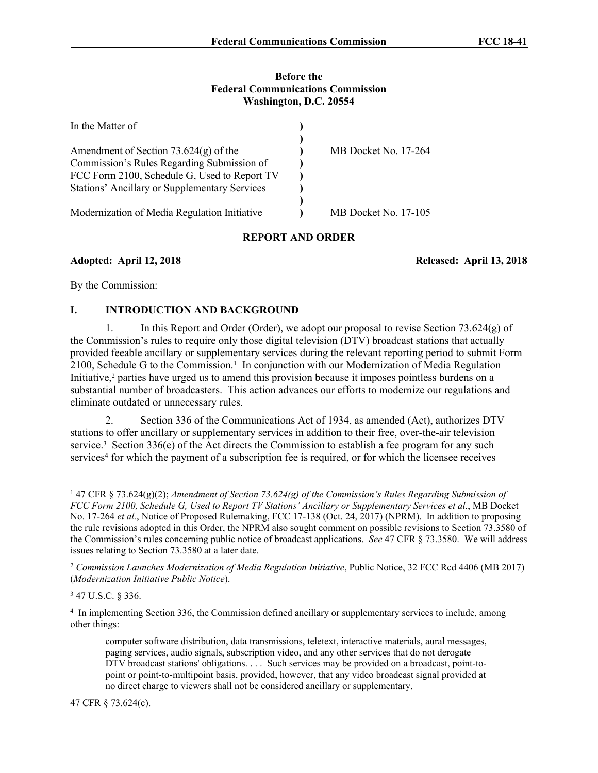#### **Before the Federal Communications Commission Washington, D.C. 20554**

| In the Matter of                                     |                      |
|------------------------------------------------------|----------------------|
| Amendment of Section $73.624(g)$ of the              | MB Docket No. 17-264 |
|                                                      |                      |
| Commission's Rules Regarding Submission of           |                      |
| FCC Form 2100, Schedule G, Used to Report TV         |                      |
| <b>Stations' Ancillary or Supplementary Services</b> |                      |
|                                                      |                      |
| Modernization of Media Regulation Initiative         | MB Docket No. 17-105 |

#### **REPORT AND ORDER**

**Adopted: April 12, 2018 Released: April 13, 2018**

By the Commission:

## **I. INTRODUCTION AND BACKGROUND**

1. In this Report and Order (Order), we adopt our proposal to revise Section 73.624(g) of the Commission's rules to require only those digital television (DTV) broadcast stations that actually provided feeable ancillary or supplementary services during the relevant reporting period to submit Form 2100, Schedule G to the Commission.<sup>1</sup> In conjunction with our Modernization of Media Regulation Initiative,<sup>2</sup> parties have urged us to amend this provision because it imposes pointless burdens on a substantial number of broadcasters. This action advances our efforts to modernize our regulations and eliminate outdated or unnecessary rules.

2. Section 336 of the Communications Act of 1934, as amended (Act), authorizes DTV stations to offer ancillary or supplementary services in addition to their free, over-the-air television service.<sup>3</sup> Section 336(e) of the Act directs the Commission to establish a fee program for any such services<sup>4</sup> for which the payment of a subscription fee is required, or for which the licensee receives

47 CFR § 73.624(c).

<sup>1</sup> 47 CFR § 73.624(g)(2); *Amendment of Section 73.624(g) of the Commission's Rules Regarding Submission of FCC Form 2100, Schedule G, Used to Report TV Stations' Ancillary or Supplementary Services et al.*, MB Docket No. 17-264 *et al.*, Notice of Proposed Rulemaking, FCC 17-138 (Oct. 24, 2017) (NPRM). In addition to proposing the rule revisions adopted in this Order, the NPRM also sought comment on possible revisions to Section 73.3580 of the Commission's rules concerning public notice of broadcast applications. *See* 47 CFR § 73.3580. We will address issues relating to Section 73.3580 at a later date.

<sup>2</sup> *Commission Launches Modernization of Media Regulation Initiative*, Public Notice, 32 FCC Rcd 4406 (MB 2017) (*Modernization Initiative Public Notice*).

<sup>3</sup> 47 U.S.C. § 336.

<sup>4</sup> In implementing Section 336, the Commission defined ancillary or supplementary services to include, among other things:

computer software distribution, data transmissions, teletext, interactive materials, aural messages, paging services, audio signals, subscription video, and any other services that do not derogate DTV broadcast stations' obligations. . . . Such services may be provided on a broadcast, point-topoint or point-to-multipoint basis, provided, however, that any video broadcast signal provided at no direct charge to viewers shall not be considered ancillary or supplementary.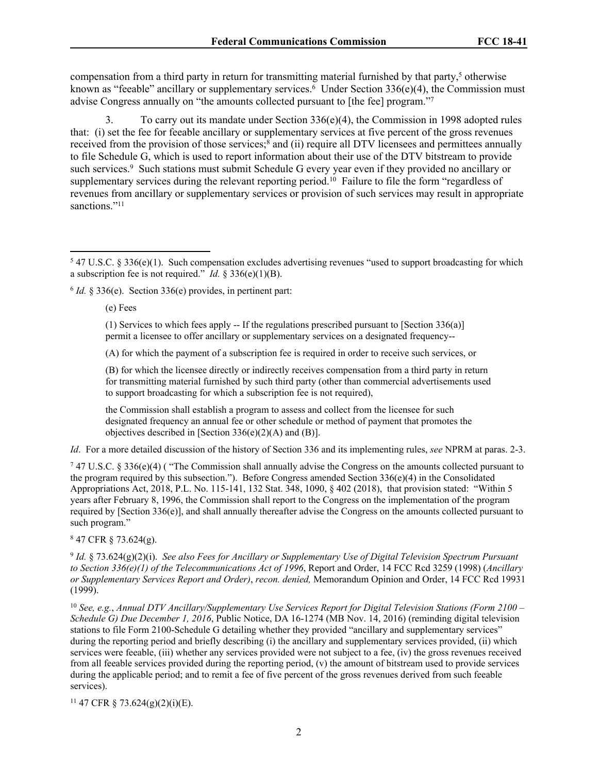compensation from a third party in return for transmitting material furnished by that party,<sup>5</sup> otherwise known as "feeable" ancillary or supplementary services.<sup>6</sup> Under Section 336(e)(4), the Commission must advise Congress annually on "the amounts collected pursuant to [the fee] program."7

3. To carry out its mandate under Section 336(e)(4), the Commission in 1998 adopted rules that: (i) set the fee for feeable ancillary or supplementary services at five percent of the gross revenues received from the provision of those services;<sup>8</sup> and (ii) require all DTV licensees and permittees annually to file Schedule G, which is used to report information about their use of the DTV bitstream to provide such services.<sup>9</sup> Such stations must submit Schedule G every year even if they provided no ancillary or supplementary services during the relevant reporting period.<sup>10</sup> Failure to file the form "regardless of revenues from ancillary or supplementary services or provision of such services may result in appropriate sanctions."<sup>11</sup>

(e) Fees

(1) Services to which fees apply  $-$ - If the regulations prescribed pursuant to [Section 336(a)] permit a licensee to offer ancillary or supplementary services on a designated frequency--

(A) for which the payment of a subscription fee is required in order to receive such services, or

(B) for which the licensee directly or indirectly receives compensation from a third party in return for transmitting material furnished by such third party (other than commercial advertisements used to support broadcasting for which a subscription fee is not required),

the Commission shall establish a program to assess and collect from the licensee for such designated frequency an annual fee or other schedule or method of payment that promotes the objectives described in [Section  $336(e)(2)(A)$  and (B)].

*Id*. For a more detailed discussion of the history of Section 336 and its implementing rules, *see* NPRM at paras. 2-3.

7 47 U.S.C. § 336(e)(4) ( "The Commission shall annually advise the Congress on the amounts collected pursuant to the program required by this subsection."). Before Congress amended Section  $336(e)(4)$  in the Consolidated Appropriations Act, 2018, P.L. No. 115-141, 132 Stat. 348, 1090, § 402 (2018), that provision stated: "Within 5 years after February 8, 1996, the Commission shall report to the Congress on the implementation of the program required by [Section 336(e)], and shall annually thereafter advise the Congress on the amounts collected pursuant to such program."

8 47 CFR § 73.624(g).

9 *Id.* § 73.624(g)(2)(i). *See also Fees for Ancillary or Supplementary Use of Digital Television Spectrum Pursuant to Section 336(e)(1) of the Telecommunications Act of 1996*, Report and Order, 14 FCC Rcd 3259 (1998) (*Ancillary or Supplementary Services Report and Order)*, *recon. denied,* Memorandum Opinion and Order, 14 FCC Rcd 19931 (1999).

<sup>10</sup> *See, e.g.*, *Annual DTV Ancillary/Supplementary Use Services Report for Digital Television Stations (Form 2100 – Schedule G) Due December 1, 2016*, Public Notice, DA 16-1274 (MB Nov. 14, 2016) (reminding digital television stations to file Form 2100-Schedule G detailing whether they provided "ancillary and supplementary services" during the reporting period and briefly describing (i) the ancillary and supplementary services provided, (ii) which services were feeable, (iii) whether any services provided were not subject to a fee, (iv) the gross revenues received from all feeable services provided during the reporting period, (v) the amount of bitstream used to provide services during the applicable period; and to remit a fee of five percent of the gross revenues derived from such feeable services).

<sup>11</sup> 47 CFR § 73.624(g)(2)(i)(E).

 $547$  U.S.C. § 336(e)(1). Such compensation excludes advertising revenues "used to support broadcasting for which a subscription fee is not required." *Id.* § 336(e)(1)(B).

<sup>6</sup> *Id.* § 336(e). Section 336(e) provides, in pertinent part: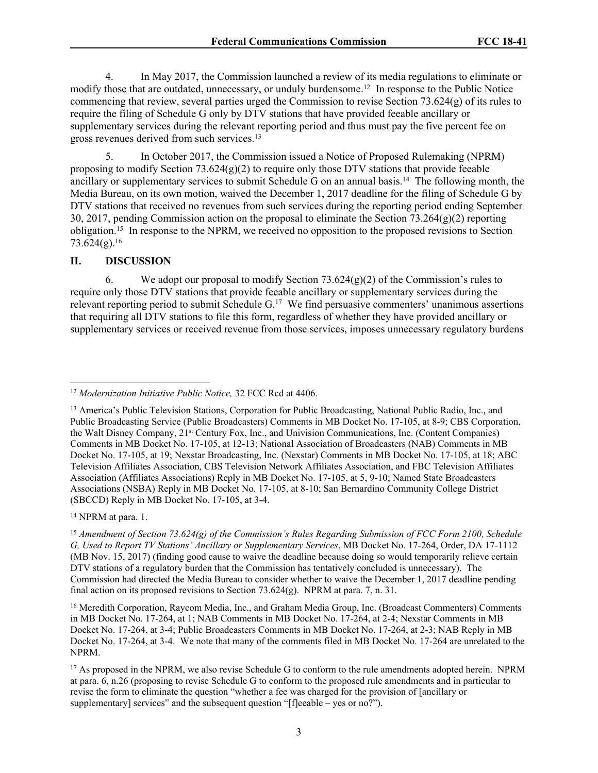4. In May 2017, the Commission launched a review of its media regulations to eliminate or modify those that are outdated, unnecessary, or unduly burdensome.<sup>12</sup> In response to the Public Notice commencing that review, several parties urged the Commission to revise Section 73.624(g) of its rules to require the filing of Schedule G only by DTV stations that have provided feeable ancillary or supplementary services during the relevant reporting period and thus must pay the five percent fee on gross revenues derived from such services.<sup>13</sup>

5. In October 2017, the Commission issued a Notice of Proposed Rulemaking (NPRM) proposing to modify Section  $73.624(g)(2)$  to require only those DTV stations that provide feeable ancillary or supplementary services to submit Schedule G on an annual basis.<sup>14</sup> The following month, the Media Bureau, on its own motion, waived the December 1, 2017 deadline for the filing of Schedule G by DTV stations that received no revenues from such services during the reporting period ending September 30, 2017, pending Commission action on the proposal to eliminate the Section  $73.264(g)(2)$  reporting obligation.<sup>15</sup> In response to the NPRM, we received no opposition to the proposed revisions to Section  $73.624(g).$ <sup>16</sup>

#### **II. DISCUSSION**

6. We adopt our proposal to modify Section 73.624(g)(2) of the Commission's rules to require only those DTV stations that provide feeable ancillary or supplementary services during the relevant reporting period to submit Schedule G.<sup>17</sup> We find persuasive commenters' unanimous assertions that requiring all DTV stations to file this form, regardless of whether they have provided ancillary or supplementary services or received revenue from those services, imposes unnecessary regulatory burdens

<sup>14</sup> NPRM at para. 1.

<sup>12</sup> *Modernization Initiative Public Notice,* 32 FCC Rcd at 4406.

<sup>13</sup> America's Public Television Stations, Corporation for Public Broadcasting, National Public Radio, Inc., and Public Broadcasting Service (Public Broadcasters) Comments in MB Docket No. 17-105, at 8-9; CBS Corporation, the Walt Disney Company, 21st Century Fox, Inc., and Univision Communications, Inc. (Content Companies) Comments in MB Docket No. 17-105, at 12-13; National Association of Broadcasters (NAB) Comments in MB Docket No. 17-105, at 19; Nexstar Broadcasting, Inc. (Nexstar) Comments in MB Docket No. 17-105, at 18; ABC Television Affiliates Association, CBS Television Network Affiliates Association, and FBC Television Affiliates Association (Affiliates Associations) Reply in MB Docket No. 17-105, at 5, 9-10; Named State Broadcasters Associations (NSBA) Reply in MB Docket No. 17-105, at 8-10; San Bernardino Community College District (SBCCD) Reply in MB Docket No. 17-105, at 3-4.

<sup>15</sup> *Amendment of Section 73.624(g) of the Commission's Rules Regarding Submission of FCC Form 2100, Schedule G, Used to Report TV Stations' Ancillary or Supplementary Services*, MB Docket No. 17-264, Order, DA 17-1112 (MB Nov. 15, 2017) (finding good cause to waive the deadline because doing so would temporarily relieve certain DTV stations of a regulatory burden that the Commission has tentatively concluded is unnecessary). The Commission had directed the Media Bureau to consider whether to waive the December 1, 2017 deadline pending final action on its proposed revisions to Section 73.624(g). NPRM at para. 7, n. 31.

<sup>&</sup>lt;sup>16</sup> Meredith Corporation, Raycom Media, Inc., and Graham Media Group, Inc. (Broadcast Commenters) Comments in MB Docket No. 17-264, at 1; NAB Comments in MB Docket No. 17-264, at 2-4; Nexstar Comments in MB Docket No. 17-264, at 3-4; Public Broadcasters Comments in MB Docket No. 17-264, at 2-3; NAB Reply in MB Docket No. 17-264, at 3-4. We note that many of the comments filed in MB Docket No. 17-264 are unrelated to the NPRM.

<sup>&</sup>lt;sup>17</sup> As proposed in the NPRM, we also revise Schedule G to conform to the rule amendments adopted herein. NPRM at para. 6, n.26 (proposing to revise Schedule G to conform to the proposed rule amendments and in particular to revise the form to eliminate the question "whether a fee was charged for the provision of [ancillary or supplementary] services" and the subsequent question "[f]eeable – yes or no?").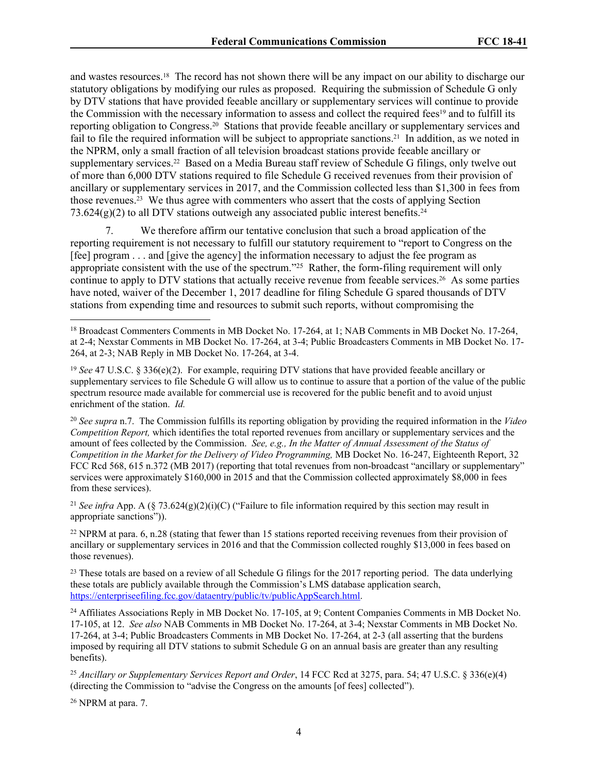and wastes resources.18 The record has not shown there will be any impact on our ability to discharge our statutory obligations by modifying our rules as proposed. Requiring the submission of Schedule G only by DTV stations that have provided feeable ancillary or supplementary services will continue to provide the Commission with the necessary information to assess and collect the required fees<sup>19</sup> and to fulfill its reporting obligation to Congress.20 Stations that provide feeable ancillary or supplementary services and fail to file the required information will be subject to appropriate sanctions.21 In addition, as we noted in the NPRM, only a small fraction of all television broadcast stations provide feeable ancillary or supplementary services.<sup>22</sup> Based on a Media Bureau staff review of Schedule G filings, only twelve out of more than 6,000 DTV stations required to file Schedule G received revenues from their provision of ancillary or supplementary services in 2017, and the Commission collected less than \$1,300 in fees from those revenues.23 We thus agree with commenters who assert that the costs of applying Section  $73.624(g)(2)$  to all DTV stations outweigh any associated public interest benefits.<sup>24</sup>

7. We therefore affirm our tentative conclusion that such a broad application of the reporting requirement is not necessary to fulfill our statutory requirement to "report to Congress on the [fee] program . . . and [give the agency] the information necessary to adjust the fee program as appropriate consistent with the use of the spectrum."<sup>25</sup> Rather, the form-filing requirement will only continue to apply to DTV stations that actually receive revenue from feeable services.26 As some parties have noted, waiver of the December 1, 2017 deadline for filing Schedule G spared thousands of DTV stations from expending time and resources to submit such reports, without compromising the

<sup>21</sup> *See infra* App. A (§ 73.624(g)(2)(i)(C) ("Failure to file information required by this section may result in appropriate sanctions")).

<sup>22</sup> NPRM at para. 6, n.28 (stating that fewer than 15 stations reported receiving revenues from their provision of ancillary or supplementary services in 2016 and that the Commission collected roughly \$13,000 in fees based on those revenues).

<sup>23</sup> These totals are based on a review of all Schedule G filings for the 2017 reporting period. The data underlying these totals are publicly available through the Commission's LMS database application search, [https://enterpriseefiling.fcc.gov/dataentry/public/tv/publicAppSearch.html.](https://enterpriseefiling.fcc.gov/dataentry/public/tv/publicAppSearch.html)

<sup>24</sup> Affiliates Associations Reply in MB Docket No. 17-105, at 9; Content Companies Comments in MB Docket No. 17-105, at 12. *See also* NAB Comments in MB Docket No. 17-264, at 3-4; Nexstar Comments in MB Docket No. 17-264, at 3-4; Public Broadcasters Comments in MB Docket No. 17-264, at 2-3 (all asserting that the burdens imposed by requiring all DTV stations to submit Schedule G on an annual basis are greater than any resulting benefits).

<sup>25</sup> *Ancillary or Supplementary Services Report and Order*, 14 FCC Rcd at 3275, para. 54; 47 U.S.C. § 336(e)(4) (directing the Commission to "advise the Congress on the amounts [of fees] collected").

26 NPRM at para. 7.

<sup>18</sup> Broadcast Commenters Comments in MB Docket No. 17-264, at 1; NAB Comments in MB Docket No. 17-264, at 2-4; Nexstar Comments in MB Docket No. 17-264, at 3-4; Public Broadcasters Comments in MB Docket No. 17- 264, at 2-3; NAB Reply in MB Docket No. 17-264, at 3-4.

<sup>19</sup> *See* 47 U.S.C. § 336(e)(2). For example, requiring DTV stations that have provided feeable ancillary or supplementary services to file Schedule G will allow us to continue to assure that a portion of the value of the public spectrum resource made available for commercial use is recovered for the public benefit and to avoid unjust enrichment of the station. *Id.*

<sup>20</sup> *See supra* n.7. The Commission fulfills its reporting obligation by providing the required information in the *Video Competition Report,* which identifies the total reported revenues from ancillary or supplementary services and the amount of fees collected by the Commission. *See, e.g., In the Matter of Annual Assessment of the Status of Competition in the Market for the Delivery of Video Programming,* MB Docket No. 16-247, Eighteenth Report, 32 FCC Rcd 568, 615 n.372 (MB 2017) (reporting that total revenues from non-broadcast "ancillary or supplementary" services were approximately \$160,000 in 2015 and that the Commission collected approximately \$8,000 in fees from these services).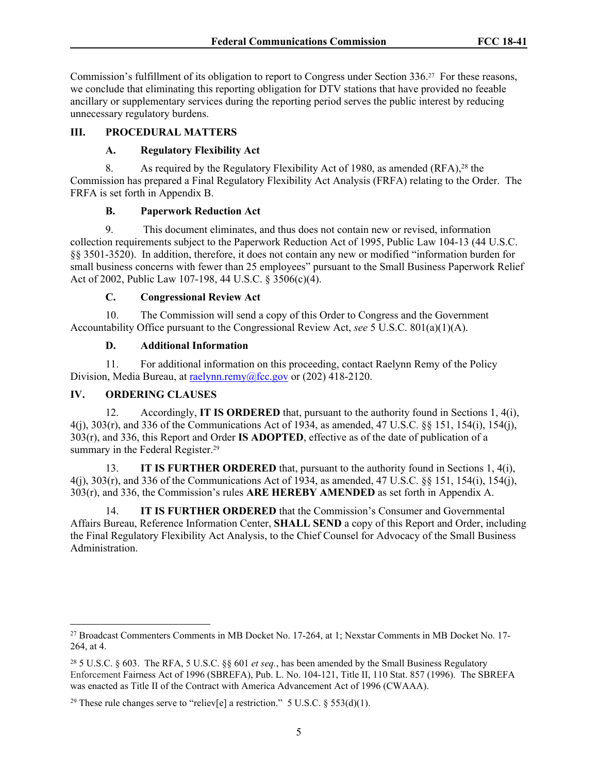Commission's fulfillment of its obligation to report to Congress under Section 336.27 For these reasons, we conclude that eliminating this reporting obligation for DTV stations that have provided no feeable ancillary or supplementary services during the reporting period serves the public interest by reducing unnecessary regulatory burdens.

#### **III. PROCEDURAL MATTERS**

#### **A. Regulatory Flexibility Act**

8. As required by the Regulatory Flexibility Act of 1980, as amended (RFA),<sup>28</sup> the Commission has prepared a Final Regulatory Flexibility Act Analysis (FRFA) relating to the Order. The FRFA is set forth in Appendix B.

#### **B. Paperwork Reduction Act**

9. This document eliminates, and thus does not contain new or revised, information collection requirements subject to the Paperwork Reduction Act of 1995, Public Law 104-13 (44 U.S.C. §§ 3501-3520). In addition, therefore, it does not contain any new or modified "information burden for small business concerns with fewer than 25 employees" pursuant to the Small Business Paperwork Relief Act of 2002, Public Law 107-198, 44 U.S.C. § 3506(c)(4).

## **C. Congressional Review Act**

10. The Commission will send a copy of this Order to Congress and the Government Accountability Office pursuant to the Congressional Review Act, *see* 5 U.S.C. 801(a)(1)(A).

#### **D. Additional Information**

11. For additional information on this proceeding, contact Raelynn Remy of the Policy Division, Media Bureau, at [raelynn.remy@fcc.gov](mailto:raelynn.remy@fcc.gov) or (202) 418-2120.

## **IV. ORDERING CLAUSES**

12. Accordingly, **IT IS ORDERED** that, pursuant to the authority found in Sections 1, 4(i), 4(j), 303(r), and 336 of the Communications Act of 1934, as amended, 47 U.S.C. §§ 151, 154(i), 154(j), 303(r), and 336, this Report and Order **IS ADOPTED**, effective as of the date of publication of a summary in the Federal Register.<sup>29</sup>

13. **IT IS FURTHER ORDERED** that, pursuant to the authority found in Sections 1, 4(i), 4(j), 303(r), and 336 of the Communications Act of 1934, as amended, 47 U.S.C. §§ 151, 154(i), 154(j), 303(r), and 336, the Commission's rules **ARE HEREBY AMENDED** as set forth in Appendix A.

14. **IT IS FURTHER ORDERED** that the Commission's Consumer and Governmental Affairs Bureau, Reference Information Center, **SHALL SEND** a copy of this Report and Order, including the Final Regulatory Flexibility Act Analysis, to the Chief Counsel for Advocacy of the Small Business Administration.

<sup>27</sup> Broadcast Commenters Comments in MB Docket No. 17-264, at 1; Nexstar Comments in MB Docket No. 17- 264, at 4.

<sup>28</sup> 5 U.S.C. § 603. The RFA, 5 U.S.C. §§ 601 *et seq.*, has been amended by the Small Business Regulatory Enforcement Fairness Act of 1996 (SBREFA), Pub. L. No. 104-121, Title II, 110 Stat. 857 (1996). The SBREFA was enacted as Title II of the Contract with America Advancement Act of 1996 (CWAAA).

<sup>&</sup>lt;sup>29</sup> These rule changes serve to "reliev[e] a restriction." 5 U.S.C. § 553(d)(1).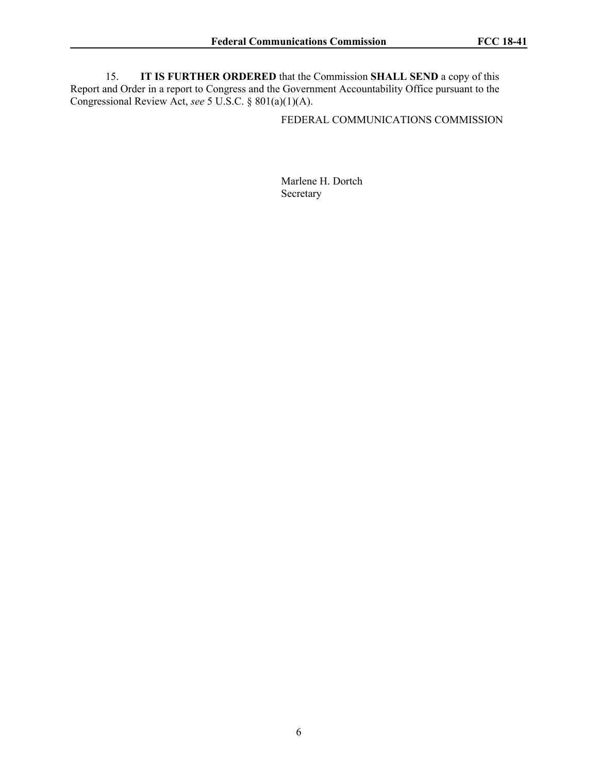15. **IT IS FURTHER ORDERED** that the Commission **SHALL SEND** a copy of this Report and Order in a report to Congress and the Government Accountability Office pursuant to the Congressional Review Act, *see* 5 U.S.C. § 801(a)(1)(A).

FEDERAL COMMUNICATIONS COMMISSION

Marlene H. Dortch Secretary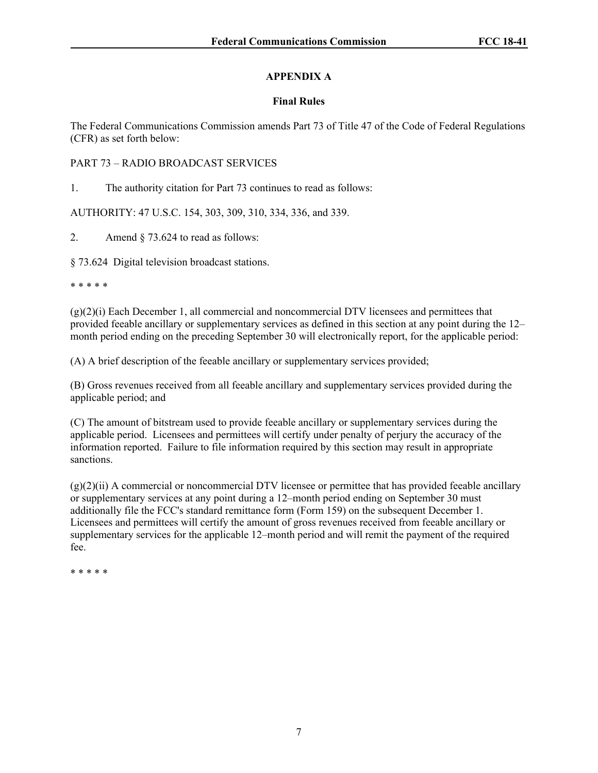# **APPENDIX A**

## **Final Rules**

The Federal Communications Commission amends Part 73 of Title 47 of the Code of Federal Regulations (CFR) as set forth below:

## PART 73 – RADIO BROADCAST SERVICES

1. The authority citation for Part 73 continues to read as follows:

AUTHORITY: 47 U.S.C. 154, 303, 309, 310, 334, 336, and 339.

2. Amend § 73.624 to read as follows:

§ 73.624 Digital television broadcast stations.

\* \* \* \* \*

 $(g)(2)(i)$  Each December 1, all commercial and noncommercial DTV licensees and permittees that provided feeable ancillary or supplementary services as defined in this section at any point during the 12– month period ending on the preceding September 30 will electronically report, for the applicable period:

(A) A brief description of the feeable ancillary or supplementary services provided;

(B) Gross revenues received from all feeable ancillary and supplementary services provided during the applicable period; and

(C) The amount of bitstream used to provide feeable ancillary or supplementary services during the applicable period. Licensees and permittees will certify under penalty of perjury the accuracy of the information reported. Failure to file information required by this section may result in appropriate sanctions.

 $(g)(2)(ii)$  A commercial or noncommercial DTV licensee or permittee that has provided feeable ancillary or supplementary services at any point during a 12–month period ending on September 30 must additionally file the FCC's standard remittance form (Form 159) on the subsequent December 1. Licensees and permittees will certify the amount of gross revenues received from feeable ancillary or supplementary services for the applicable 12–month period and will remit the payment of the required fee.

\* \* \* \* \*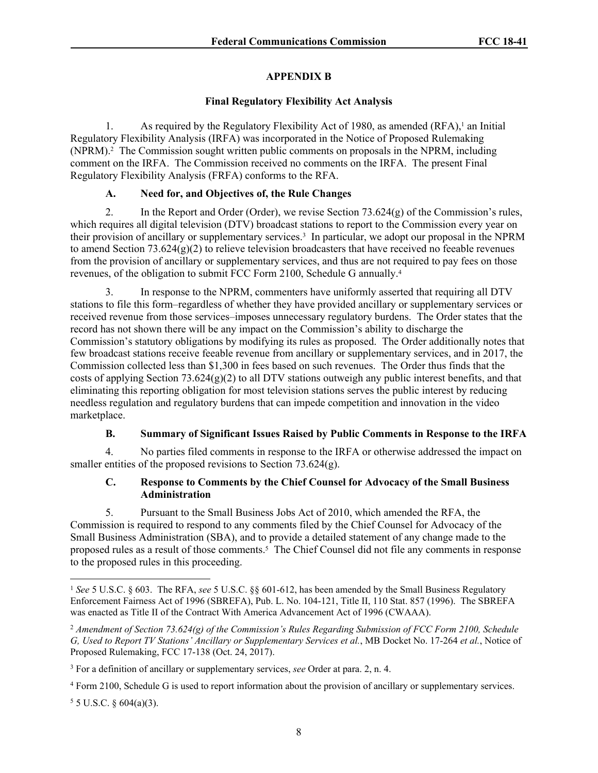## **APPENDIX B**

## **Final Regulatory Flexibility Act Analysis**

1. As required by the Regulatory Flexibility Act of 1980, as amended (RFA),<sup>1</sup> an Initial Regulatory Flexibility Analysis (IRFA) was incorporated in the Notice of Proposed Rulemaking (NPRM).<sup>2</sup> The Commission sought written public comments on proposals in the NPRM, including comment on the IRFA. The Commission received no comments on the IRFA. The present Final Regulatory Flexibility Analysis (FRFA) conforms to the RFA.

# **A. Need for, and Objectives of, the Rule Changes**

2. In the Report and Order (Order), we revise Section  $73.624(g)$  of the Commission's rules, which requires all digital television (DTV) broadcast stations to report to the Commission every year on their provision of ancillary or supplementary services.<sup>3</sup> In particular, we adopt our proposal in the NPRM to amend Section 73.624(g)(2) to relieve television broadcasters that have received no feeable revenues from the provision of ancillary or supplementary services, and thus are not required to pay fees on those revenues, of the obligation to submit FCC Form 2100, Schedule G annually.<sup>4</sup>

3. In response to the NPRM, commenters have uniformly asserted that requiring all DTV stations to file this form–regardless of whether they have provided ancillary or supplementary services or received revenue from those services–imposes unnecessary regulatory burdens. The Order states that the record has not shown there will be any impact on the Commission's ability to discharge the Commission's statutory obligations by modifying its rules as proposed. The Order additionally notes that few broadcast stations receive feeable revenue from ancillary or supplementary services, and in 2017, the Commission collected less than \$1,300 in fees based on such revenues. The Order thus finds that the costs of applying Section 73.624(g)(2) to all DTV stations outweigh any public interest benefits, and that eliminating this reporting obligation for most television stations serves the public interest by reducing needless regulation and regulatory burdens that can impede competition and innovation in the video marketplace.

# **B. Summary of Significant Issues Raised by Public Comments in Response to the IRFA**

4. No parties filed comments in response to the IRFA or otherwise addressed the impact on smaller entities of the proposed revisions to Section 73.624(g).

## **C. Response to Comments by the Chief Counsel for Advocacy of the Small Business Administration**

5. Pursuant to the Small Business Jobs Act of 2010, which amended the RFA, the Commission is required to respond to any comments filed by the Chief Counsel for Advocacy of the Small Business Administration (SBA), and to provide a detailed statement of any change made to the proposed rules as a result of those comments.<sup>5</sup> The Chief Counsel did not file any comments in response to the proposed rules in this proceeding.

 $55$  U.S.C. § 604(a)(3).

<sup>1</sup> *See* 5 U.S.C. § 603. The RFA, *see* 5 U.S.C. §§ 601-612, has been amended by the Small Business Regulatory Enforcement Fairness Act of 1996 (SBREFA), Pub. L. No. 104-121, Title II, 110 Stat. 857 (1996). The SBREFA was enacted as Title II of the Contract With America Advancement Act of 1996 (CWAAA).

<sup>2</sup> *Amendment of Section 73.624(g) of the Commission's Rules Regarding Submission of FCC Form 2100, Schedule G, Used to Report TV Stations' Ancillary or Supplementary Services et al.*, MB Docket No. 17-264 *et al.*, Notice of Proposed Rulemaking, FCC 17-138 (Oct. 24, 2017).

<sup>3</sup> For a definition of ancillary or supplementary services, *see* Order at para. 2, n. 4.

<sup>4</sup> Form 2100, Schedule G is used to report information about the provision of ancillary or supplementary services.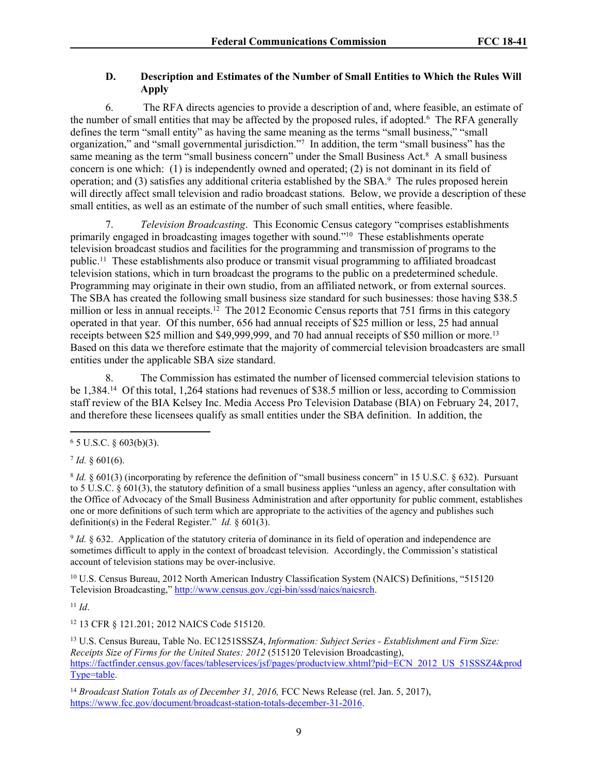#### **D. Description and Estimates of the Number of Small Entities to Which the Rules Will Apply**

6. The RFA directs agencies to provide a description of and, where feasible, an estimate of the number of small entities that may be affected by the proposed rules, if adopted.<sup>6</sup> The RFA generally defines the term "small entity" as having the same meaning as the terms "small business," "small organization," and "small governmental jurisdiction."<sup>7</sup> In addition, the term "small business" has the same meaning as the term "small business concern" under the Small Business Act.<sup>8</sup> A small business concern is one which: (1) is independently owned and operated; (2) is not dominant in its field of operation; and (3) satisfies any additional criteria established by the SBA.<sup>9</sup> The rules proposed herein will directly affect small television and radio broadcast stations. Below, we provide a description of these small entities, as well as an estimate of the number of such small entities, where feasible.

7. *Television Broadcasting*. This Economic Census category "comprises establishments primarily engaged in broadcasting images together with sound."<sup>10</sup> These establishments operate television broadcast studios and facilities for the programming and transmission of programs to the public.<sup>11</sup> These establishments also produce or transmit visual programming to affiliated broadcast television stations, which in turn broadcast the programs to the public on a predetermined schedule. Programming may originate in their own studio, from an affiliated network, or from external sources. The SBA has created the following small business size standard for such businesses: those having \$38.5 million or less in annual receipts.<sup>12</sup> The 2012 Economic Census reports that 751 firms in this category operated in that year. Of this number, 656 had annual receipts of \$25 million or less, 25 had annual receipts between \$25 million and \$49,999,999, and 70 had annual receipts of \$50 million or more.<sup>13</sup> Based on this data we therefore estimate that the majority of commercial television broadcasters are small entities under the applicable SBA size standard.

8. The Commission has estimated the number of licensed commercial television stations to be 1,384.<sup>14</sup> Of this total, 1,264 stations had revenues of \$38.5 million or less, according to Commission staff review of the BIA Kelsey Inc. Media Access Pro Television Database (BIA) on February 24, 2017, and therefore these licensees qualify as small entities under the SBA definition. In addition, the

 $7$  *Id.* § 601(6).

9 *Id.* § 632. Application of the statutory criteria of dominance in its field of operation and independence are sometimes difficult to apply in the context of broadcast television. Accordingly, the Commission's statistical account of television stations may be over-inclusive.

<sup>10</sup> U.S. Census Bureau, 2012 North American Industry Classification System (NAICS) Definitions, "515120 Television Broadcasting," [http://www.census.gov./cgi-bin/sssd/naics/naicsrch.](http://www.census.gov./cgi-bin/sssd/naics/naicsrch)

<sup>11</sup> *Id*.

<sup>12</sup> 13 CFR § 121.201; 2012 NAICS Code 515120.

<sup>13</sup> U.S. Census Bureau, Table No. EC1251SSSZ4, *Information: Subject Series - Establishment and Firm Size: Receipts Size of Firms for the United States: 2012* (515120 Television Broadcasting), [https://factfinder.census.gov/faces/tableservices/jsf/pages/productview.xhtml?pid=ECN\\_2012\\_US\\_51SSSZ4&prod](https://factfinder.census.gov/faces/tableservices/jsf/pages/productview.xhtml?pid=ECN_2012_US_51SSSZ4&prodType=table) [Type=table.](https://factfinder.census.gov/faces/tableservices/jsf/pages/productview.xhtml?pid=ECN_2012_US_51SSSZ4&prodType=table)

<sup>14</sup> Broadcast Station Totals as of December 31, 2016, FCC News Release (rel. Jan. 5, 2017), [https://www.fcc.gov/document/broadcast-station-totals-december-31-2016.](https://www.fcc.gov/document/broadcast-station-totals-december-31-2016)

 $6$  5 U.S.C. § 603(b)(3).

<sup>8</sup> *Id.* § 601(3) (incorporating by reference the definition of "small business concern" in 15 U.S.C. § 632). Pursuant to 5 U.S.C. § 601(3), the statutory definition of a small business applies "unless an agency, after consultation with the Office of Advocacy of the Small Business Administration and after opportunity for public comment, establishes one or more definitions of such term which are appropriate to the activities of the agency and publishes such definition(s) in the Federal Register." *Id.* § 601(3).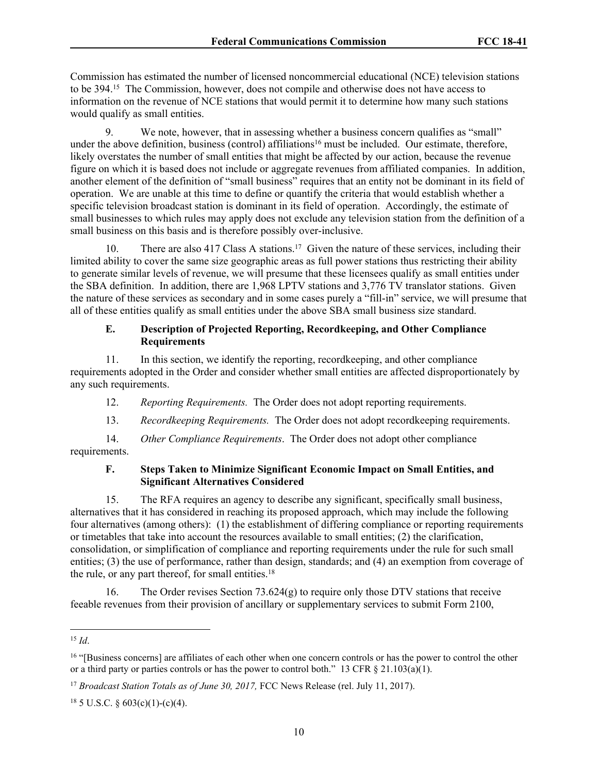Commission has estimated the number of licensed noncommercial educational (NCE) television stations to be 394.<sup>15</sup> The Commission, however, does not compile and otherwise does not have access to information on the revenue of NCE stations that would permit it to determine how many such stations would qualify as small entities.

9. We note, however, that in assessing whether a business concern qualifies as "small" under the above definition, business (control) affiliations<sup>16</sup> must be included. Our estimate, therefore, likely overstates the number of small entities that might be affected by our action, because the revenue figure on which it is based does not include or aggregate revenues from affiliated companies. In addition, another element of the definition of "small business" requires that an entity not be dominant in its field of operation. We are unable at this time to define or quantify the criteria that would establish whether a specific television broadcast station is dominant in its field of operation. Accordingly, the estimate of small businesses to which rules may apply does not exclude any television station from the definition of a small business on this basis and is therefore possibly over-inclusive.

10. There are also 417 Class A stations.<sup>17</sup> Given the nature of these services, including their limited ability to cover the same size geographic areas as full power stations thus restricting their ability to generate similar levels of revenue, we will presume that these licensees qualify as small entities under the SBA definition. In addition, there are 1,968 LPTV stations and 3,776 TV translator stations. Given the nature of these services as secondary and in some cases purely a "fill-in" service, we will presume that all of these entities qualify as small entities under the above SBA small business size standard.

#### **E. Description of Projected Reporting, Recordkeeping, and Other Compliance Requirements**

11. In this section, we identify the reporting, recordkeeping, and other compliance requirements adopted in the Order and consider whether small entities are affected disproportionately by any such requirements.

12. *Reporting Requirements.* The Order does not adopt reporting requirements.

13. *Recordkeeping Requirements.* The Order does not adopt recordkeeping requirements.

14. *Other Compliance Requirements*. The Order does not adopt other compliance requirements.

#### **F. Steps Taken to Minimize Significant Economic Impact on Small Entities, and Significant Alternatives Considered**

15. The RFA requires an agency to describe any significant, specifically small business, alternatives that it has considered in reaching its proposed approach, which may include the following four alternatives (among others): (1) the establishment of differing compliance or reporting requirements or timetables that take into account the resources available to small entities; (2) the clarification, consolidation, or simplification of compliance and reporting requirements under the rule for such small entities; (3) the use of performance, rather than design, standards; and (4) an exemption from coverage of the rule, or any part thereof, for small entities.<sup>18</sup>

16. The Order revises Section 73.624(g) to require only those DTV stations that receive feeable revenues from their provision of ancillary or supplementary services to submit Form 2100,

 $18$  5 U.S.C. § 603(c)(1)-(c)(4).

<sup>15</sup> *Id*.

<sup>&</sup>lt;sup>16</sup> "[Business concerns] are affiliates of each other when one concern controls or has the power to control the other or a third party or parties controls or has the power to control both." 13 CFR  $\S$  21.103(a)(1).

<sup>&</sup>lt;sup>17</sup> Broadcast Station Totals as of June 30, 2017, FCC News Release (rel. July 11, 2017).